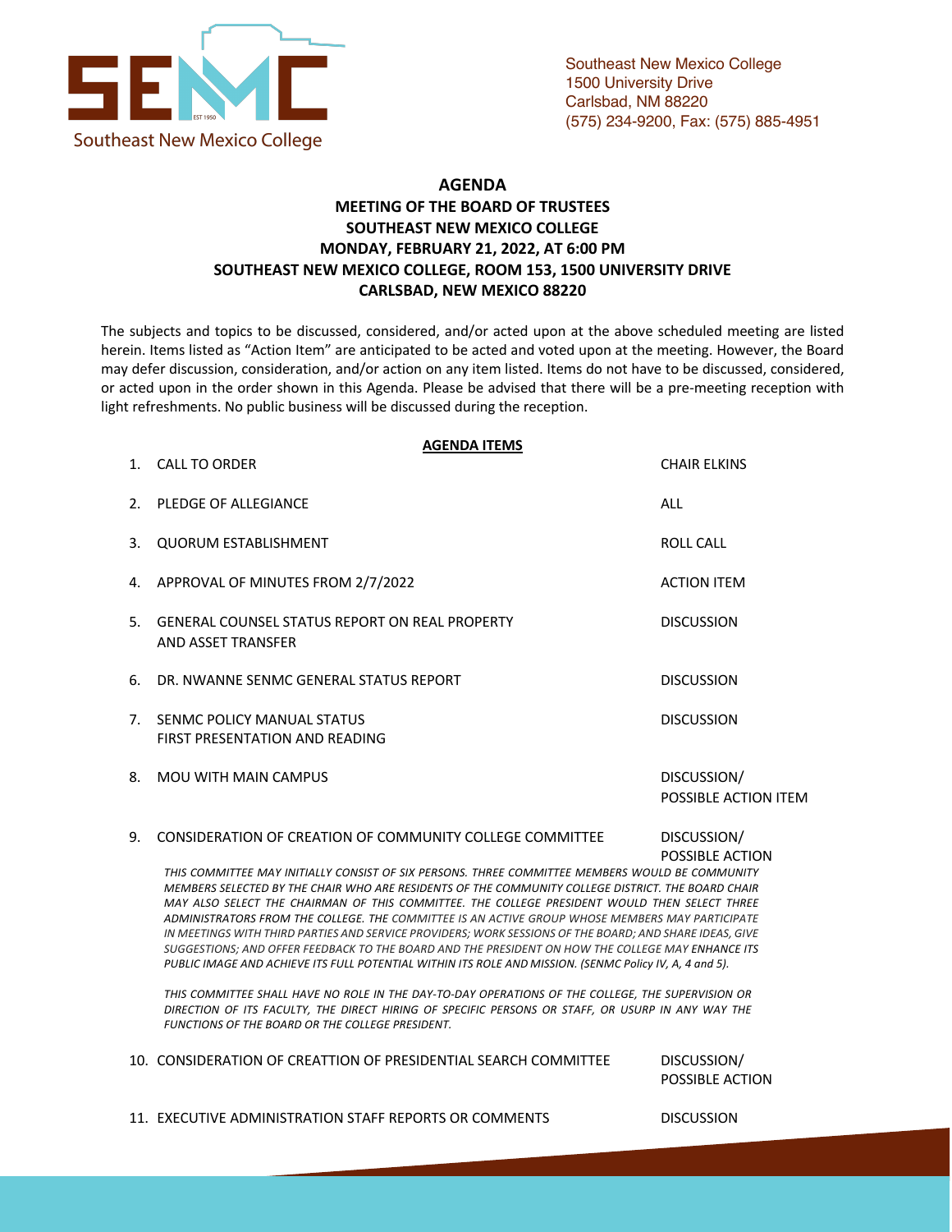

## **AGENDA MEETING OF THE BOARD OF TRUSTEES SOUTHEAST NEW MEXICO COLLEGE MONDAY, FEBRUARY 21, 2022, AT 6:00 PM SOUTHEAST NEW MEXICO COLLEGE, ROOM 153, 1500 UNIVERSITY DRIVE CARLSBAD, NEW MEXICO 88220**

The subjects and topics to be discussed, considered, and/or acted upon at the above scheduled meeting are listed herein. Items listed as "Action Item" are anticipated to be acted and voted upon at the meeting. However, the Board may defer discussion, consideration, and/or action on any item listed. Items do not have to be discussed, considered, or acted upon in the order shown in this Agenda. Please be advised that there will be a pre-meeting reception with light refreshments. No public business will be discussed during the reception.

## **AGENDA ITEMS**

| 1. CALL TO ORDER                                                        | <b>CHAIR ELKINS</b>                 |
|-------------------------------------------------------------------------|-------------------------------------|
| 2. PLEDGE OF ALLEGIANCE                                                 | ALL                                 |
| 3. QUORUM ESTABLISHMENT                                                 | <b>ROLL CALL</b>                    |
| 4. APPROVAL OF MINUTES FROM 2/7/2022                                    | <b>ACTION ITEM</b>                  |
| 5. GENERAL COUNSEL STATUS REPORT ON REAL PROPERTY<br>AND ASSET TRANSFER | <b>DISCUSSION</b>                   |
| 6. DR. NWANNE SENMC GENERAL STATUS REPORT                               | <b>DISCUSSION</b>                   |
| 7. SENMC POLICY MANUAL STATUS<br>FIRST PRESENTATION AND READING         | <b>DISCUSSION</b>                   |
| 8. MOU WITH MAIN CAMPUS                                                 | DISCUSSION/<br>POSSIBLE ACTION ITEM |

9. CONSIDERATION OF CREATION OF COMMUNITY COLLEGE COMMITTEE DISCUSSION/

POSSIBLE ACTION

*THIS COMMITTEE MAY INITIALLY CONSIST OF SIX PERSONS. THREE COMMITTEE MEMBERS WOULD BE COMMUNITY MEMBERS SELECTED BY THE CHAIR WHO ARE RESIDENTS OF THE COMMUNITY COLLEGE DISTRICT. THE BOARD CHAIR MAY ALSO SELECT THE CHAIRMAN OF THIS COMMITTEE. THE COLLEGE PRESIDENT WOULD THEN SELECT THREE ADMINISTRATORS FROM THE COLLEGE. THE COMMITTEE IS AN ACTIVE GROUP WHOSE MEMBERS MAY PARTICIPATE IN MEETINGS WITH THIRD PARTIES AND SERVICE PROVIDERS; WORK SESSIONS OF THE BOARD; AND SHARE IDEAS, GIVE SUGGESTIONS; AND OFFER FEEDBACK TO THE BOARD AND THE PRESIDENT ON HOW THE COLLEGE MAY ENHANCE ITS PUBLIC IMAGE AND ACHIEVE ITS FULL POTENTIAL WITHIN ITS ROLE AND MISSION. (SENMC Policy IV, A, 4 and 5).*

*THIS COMMITTEE SHALL HAVE NO ROLE IN THE DAY-TO-DAY OPERATIONS OF THE COLLEGE, THE SUPERVISION OR DIRECTION OF ITS FACULTY, THE DIRECT HIRING OF SPECIFIC PERSONS OR STAFF, OR USURP IN ANY WAY THE FUNCTIONS OF THE BOARD OR THE COLLEGE PRESIDENT.*

10. CONSIDERATION OF CREATTION OF PRESIDENTIAL SEARCH COMMITTEE DISCUSSION/

POSSIBLE ACTION

11. EXECUTIVE ADMINISTRATION STAFF REPORTS OR COMMENTS DISCUSSION